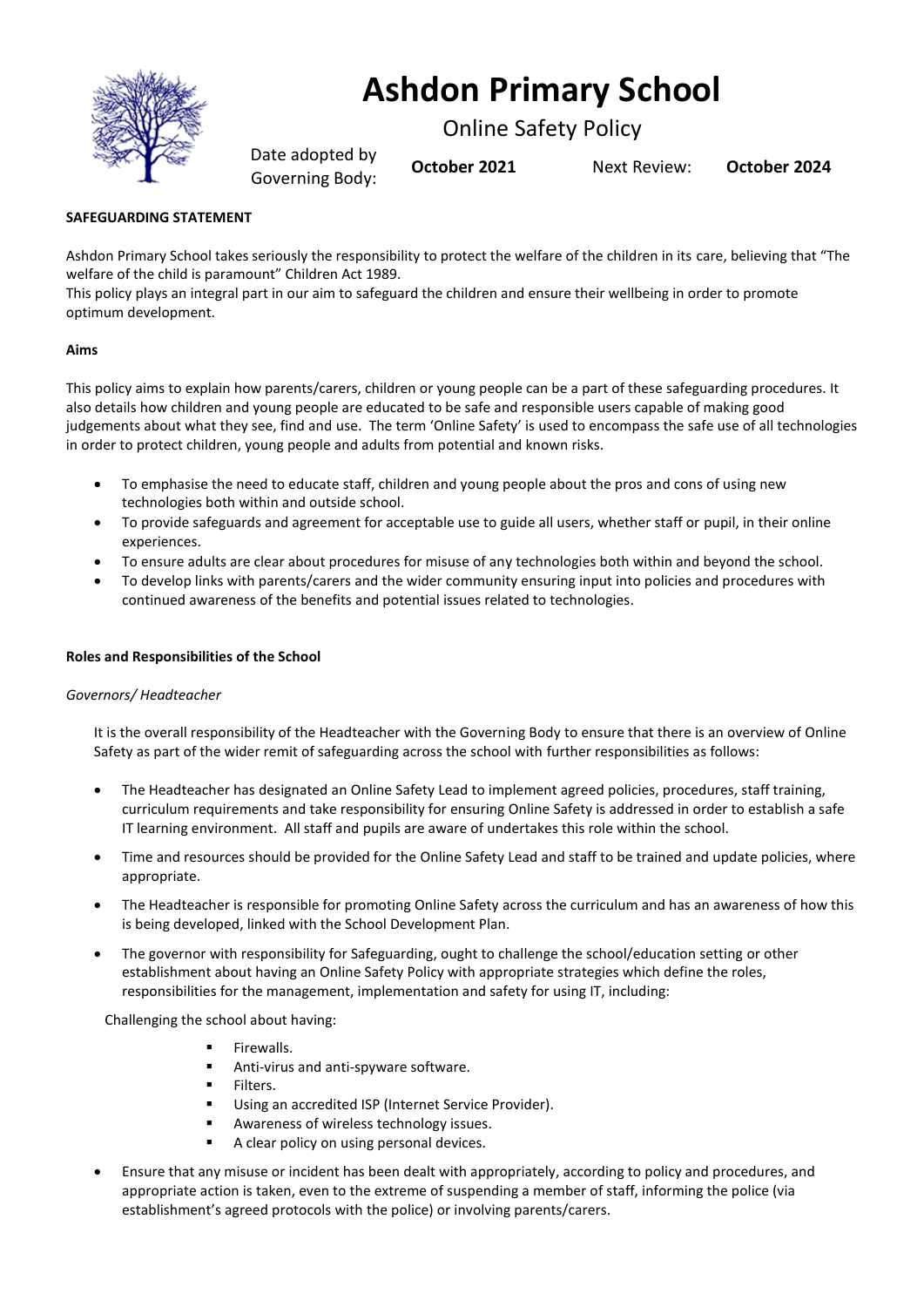

# **Ashdon Primary School**

Online Safety Policy

Date adopted by Governing Body: **October <sup>2021</sup>** Next Review: **October <sup>2024</sup>**

# **SAFEGUARDING STATEMENT**

Ashdon Primary School takes seriously the responsibility to protect the welfare of the children in its care, believing that "The welfare of the child is paramount" Children Act 1989.

This policy plays an integral part in our aim to safeguard the children and ensure their wellbeing in order to promote optimum development.

# **Aims**

This policy aims to explain how parents/carers, children or young people can be a part of these safeguarding procedures. It also details how children and young people are educated to be safe and responsible users capable of making good judgements about what they see, find and use. The term 'Online Safety' is used to encompass the safe use of all technologies in order to protect children, young people and adults from potential and known risks.

- To emphasise the need to educate staff, children and young people about the pros and cons of using new technologies both within and outside school.
- To provide safeguards and agreement for acceptable use to guide all users, whether staff or pupil, in their online experiences.
- To ensure adults are clear about procedures for misuse of any technologies both within and beyond the school.
- To develop links with parents/carers and the wider community ensuring input into policies and procedures with continued awareness of the benefits and potential issues related to technologies.

# **Roles and Responsibilities of the School**

## *Governors/ Headteacher*

It is the overall responsibility of the Headteacher with the Governing Body to ensure that there is an overview of Online Safety as part of the wider remit of safeguarding across the school with further responsibilities as follows:

- The Headteacher has designated an Online Safety Lead to implement agreed policies, procedures, staff training, curriculum requirements and take responsibility for ensuring Online Safety is addressed in order to establish a safe IT learning environment. All staff and pupils are aware of undertakes this role within the school.
- Time and resources should be provided for the Online Safety Lead and staff to be trained and update policies, where appropriate.
- The Headteacher is responsible for promoting Online Safety across the curriculum and has an awareness of how this is being developed, linked with the School Development Plan.
- The governor with responsibility for Safeguarding, ought to challenge the school/education setting or other establishment about having an Online Safety Policy with appropriate strategies which define the roles, responsibilities for the management, implementation and safety for using IT, including:

Challenging the school about having:

- **■** Firewalls.
- Anti-virus and anti-spyware software.
- **Filters**
- Using an accredited ISP (Internet Service Provider).
- Awareness of wireless technology issues.
- A clear policy on using personal devices.
- Ensure that any misuse or incident has been dealt with appropriately, according to policy and procedures, and appropriate action is taken, even to the extreme of suspending a member of staff, informing the police (via establishment's agreed protocols with the police) or involving parents/carers.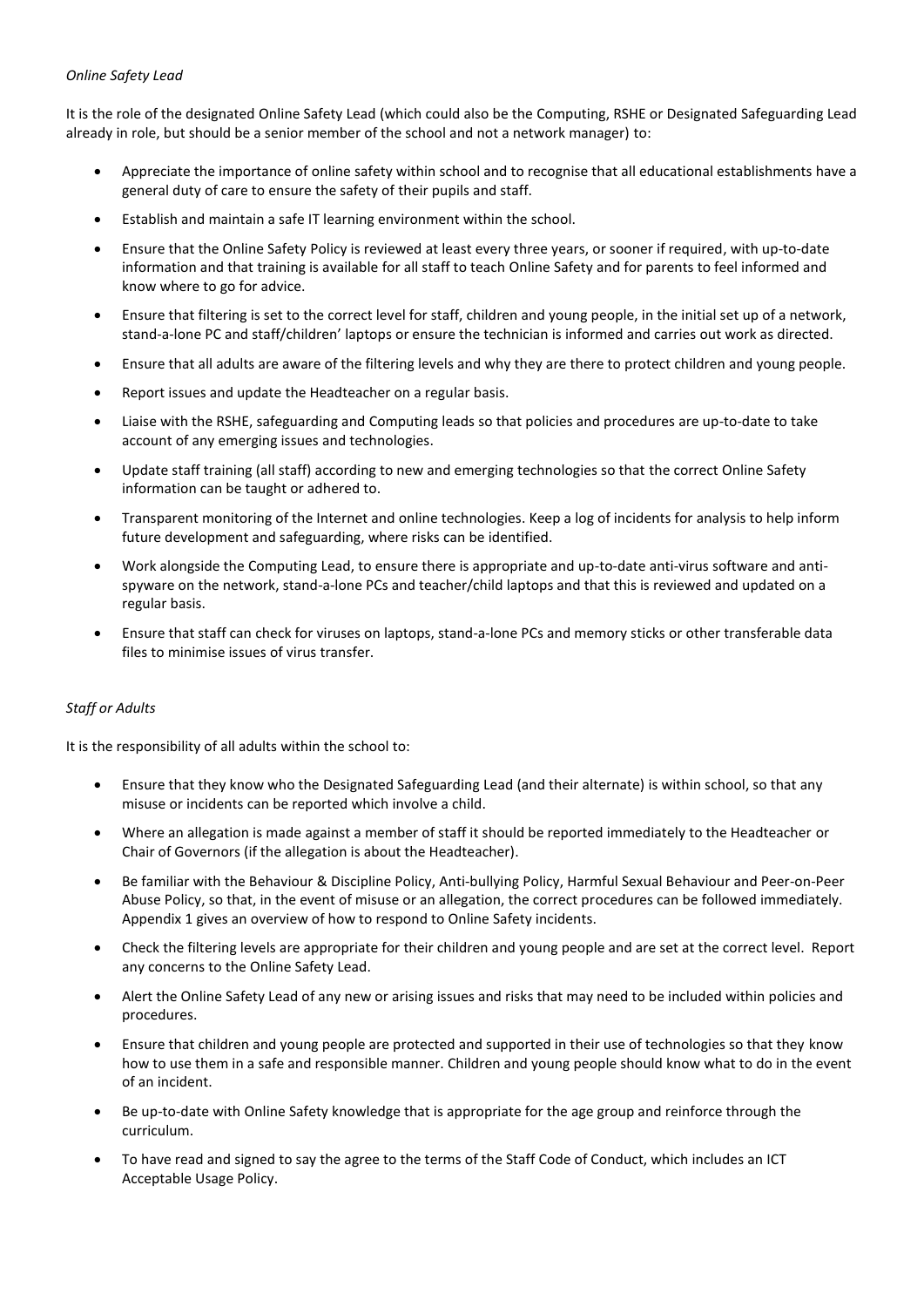## *Online Safety Lead*

It is the role of the designated Online Safety Lead (which could also be the Computing, RSHE or Designated Safeguarding Lead already in role, but should be a senior member of the school and not a network manager) to:

- Appreciate the importance of online safety within school and to recognise that all educational establishments have a general duty of care to ensure the safety of their pupils and staff.
- Establish and maintain a safe IT learning environment within the school.
- Ensure that the Online Safety Policy is reviewed at least every three years, or sooner if required, with up-to-date information and that training is available for all staff to teach Online Safety and for parents to feel informed and know where to go for advice.
- Ensure that filtering is set to the correct level for staff, children and young people, in the initial set up of a network, stand-a-lone PC and staff/children' laptops or ensure the technician is informed and carries out work as directed.
- Ensure that all adults are aware of the filtering levels and why they are there to protect children and young people.
- Report issues and update the Headteacher on a regular basis.
- Liaise with the RSHE, safeguarding and Computing leads so that policies and procedures are up-to-date to take account of any emerging issues and technologies.
- Update staff training (all staff) according to new and emerging technologies so that the correct Online Safety information can be taught or adhered to.
- Transparent monitoring of the Internet and online technologies. Keep a log of incidents for analysis to help inform future development and safeguarding, where risks can be identified.
- Work alongside the Computing Lead, to ensure there is appropriate and up-to-date anti-virus software and antispyware on the network, stand-a-lone PCs and teacher/child laptops and that this is reviewed and updated on a regular basis.
- Ensure that staff can check for viruses on laptops, stand-a-lone PCs and memory sticks or other transferable data files to minimise issues of virus transfer.

# *Staff or Adults*

It is the responsibility of all adults within the school to:

- Ensure that they know who the Designated Safeguarding Lead (and their alternate) is within school, so that any misuse or incidents can be reported which involve a child.
- Where an allegation is made against a member of staff it should be reported immediately to the Headteacher or Chair of Governors (if the allegation is about the Headteacher).
- Be familiar with the Behaviour & Discipline Policy, Anti-bullying Policy, Harmful Sexual Behaviour and Peer-on-Peer Abuse Policy, so that, in the event of misuse or an allegation, the correct procedures can be followed immediately. Appendix 1 gives an overview of how to respond to Online Safety incidents.
- Check the filtering levels are appropriate for their children and young people and are set at the correct level. Report any concerns to the Online Safety Lead.
- Alert the Online Safety Lead of any new or arising issues and risks that may need to be included within policies and procedures.
- Ensure that children and young people are protected and supported in their use of technologies so that they know how to use them in a safe and responsible manner. Children and young people should know what to do in the event of an incident.
- Be up-to-date with Online Safety knowledge that is appropriate for the age group and reinforce through the curriculum.
- To have read and signed to say the agree to the terms of the Staff Code of Conduct, which includes an ICT Acceptable Usage Policy.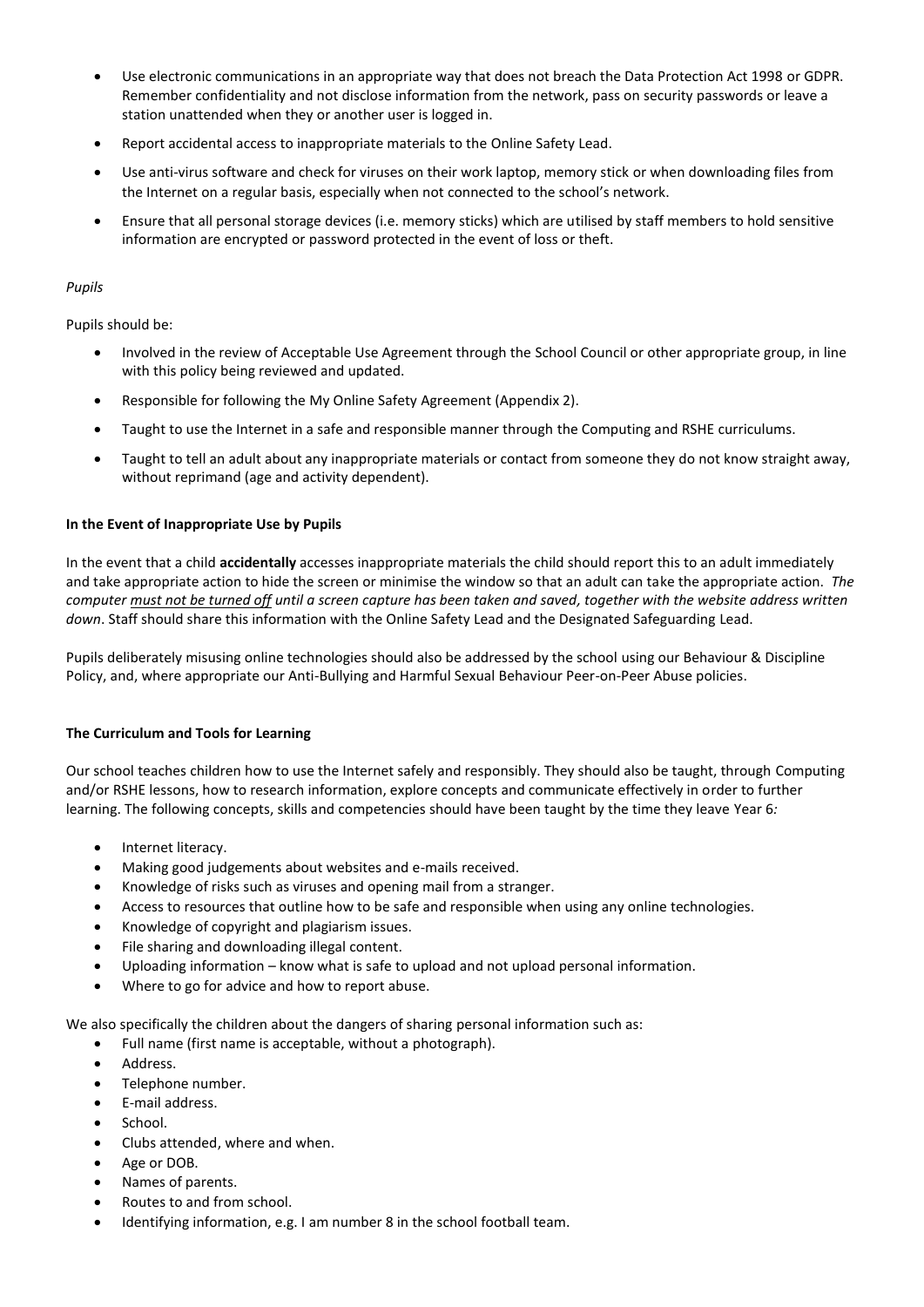- Use electronic communications in an appropriate way that does not breach the Data Protection Act 1998 or GDPR. Remember confidentiality and not disclose information from the network, pass on security passwords or leave a station unattended when they or another user is logged in.
- Report accidental access to inappropriate materials to the Online Safety Lead.
- Use anti-virus software and check for viruses on their work laptop, memory stick or when downloading files from the Internet on a regular basis, especially when not connected to the school's network.
- Ensure that all personal storage devices (i.e. memory sticks) which are utilised by staff members to hold sensitive information are encrypted or password protected in the event of loss or theft.

## *Pupils*

Pupils should be:

- Involved in the review of Acceptable Use Agreement through the School Council or other appropriate group, in line with this policy being reviewed and updated.
- Responsible for following the My Online Safety Agreement (Appendix 2).
- Taught to use the Internet in a safe and responsible manner through the Computing and RSHE curriculums.
- Taught to tell an adult about any inappropriate materials or contact from someone they do not know straight away, without reprimand (age and activity dependent).

#### **In the Event of Inappropriate Use by Pupils**

In the event that a child **accidentally** accesses inappropriate materials the child should report this to an adult immediately and take appropriate action to hide the screen or minimise the window so that an adult can take the appropriate action. *The computer must not be turned off until a screen capture has been taken and saved, together with the website address written down*. Staff should share this information with the Online Safety Lead and the Designated Safeguarding Lead.

Pupils deliberately misusing online technologies should also be addressed by the school using our Behaviour & Discipline Policy, and, where appropriate our Anti-Bullying and Harmful Sexual Behaviour Peer-on-Peer Abuse policies.

## **The Curriculum and Tools for Learning**

Our school teaches children how to use the Internet safely and responsibly. They should also be taught, through Computing and/or RSHE lessons, how to research information, explore concepts and communicate effectively in order to further learning. The following concepts, skills and competencies should have been taught by the time they leave Year 6*:*

- Internet literacy.
- Making good judgements about websites and e-mails received.
- Knowledge of risks such as viruses and opening mail from a stranger.
- Access to resources that outline how to be safe and responsible when using any online technologies.
- Knowledge of copyright and plagiarism issues.
- File sharing and downloading illegal content.
- Uploading information know what is safe to upload and not upload personal information.
- Where to go for advice and how to report abuse.

We also specifically the children about the dangers of sharing personal information such as:

- Full name (first name is acceptable, without a photograph).
- Address.
- Telephone number.
- E-mail address.
- School.
- Clubs attended, where and when.
- Age or DOB.
- Names of parents.
- Routes to and from school.
- Identifying information, e.g. I am number 8 in the school football team.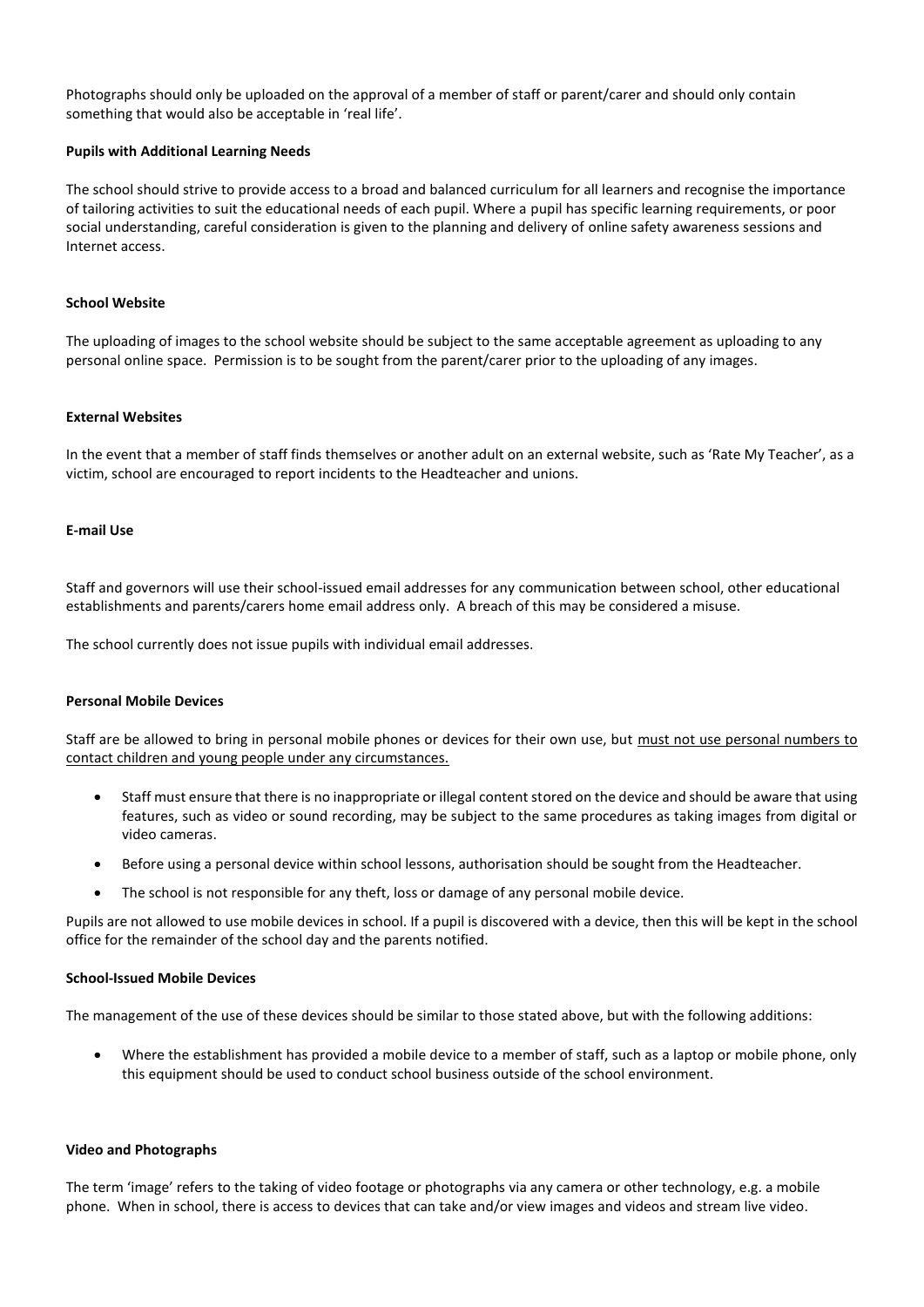Photographs should only be uploaded on the approval of a member of staff or parent/carer and should only contain something that would also be acceptable in 'real life'.

#### **Pupils with Additional Learning Needs**

The school should strive to provide access to a broad and balanced curriculum for all learners and recognise the importance of tailoring activities to suit the educational needs of each pupil. Where a pupil has specific learning requirements, or poor social understanding, careful consideration is given to the planning and delivery of online safety awareness sessions and Internet access.

#### **School Website**

The uploading of images to the school website should be subject to the same acceptable agreement as uploading to any personal online space. Permission is to be sought from the parent/carer prior to the uploading of any images.

#### **External Websites**

In the event that a member of staff finds themselves or another adult on an external website, such as 'Rate My Teacher', as a victim, school are encouraged to report incidents to the Headteacher and unions.

#### **E-mail Use**

Staff and governors will use their school-issued email addresses for any communication between school, other educational establishments and parents/carers home email address only. A breach of this may be considered a misuse.

The school currently does not issue pupils with individual email addresses.

#### **Personal Mobile Devices**

Staff are be allowed to bring in personal mobile phones or devices for their own use, but must not use personal numbers to contact children and young people under any circumstances.

- Staff must ensure that there is no inappropriate or illegal content stored on the device and should be aware that using features, such as video or sound recording, may be subject to the same procedures as taking images from digital or video cameras.
- Before using a personal device within school lessons, authorisation should be sought from the Headteacher.
- The school is not responsible for any theft, loss or damage of any personal mobile device.

Pupils are not allowed to use mobile devices in school. If a pupil is discovered with a device, then this will be kept in the school office for the remainder of the school day and the parents notified.

#### **School-Issued Mobile Devices**

The management of the use of these devices should be similar to those stated above, but with the following additions:

• Where the establishment has provided a mobile device to a member of staff, such as a laptop or mobile phone, only this equipment should be used to conduct school business outside of the school environment.

#### **Video and Photographs**

The term 'image' refers to the taking of video footage or photographs via any camera or other technology, e.g. a mobile phone. When in school, there is access to devices that can take and/or view images and videos and stream live video.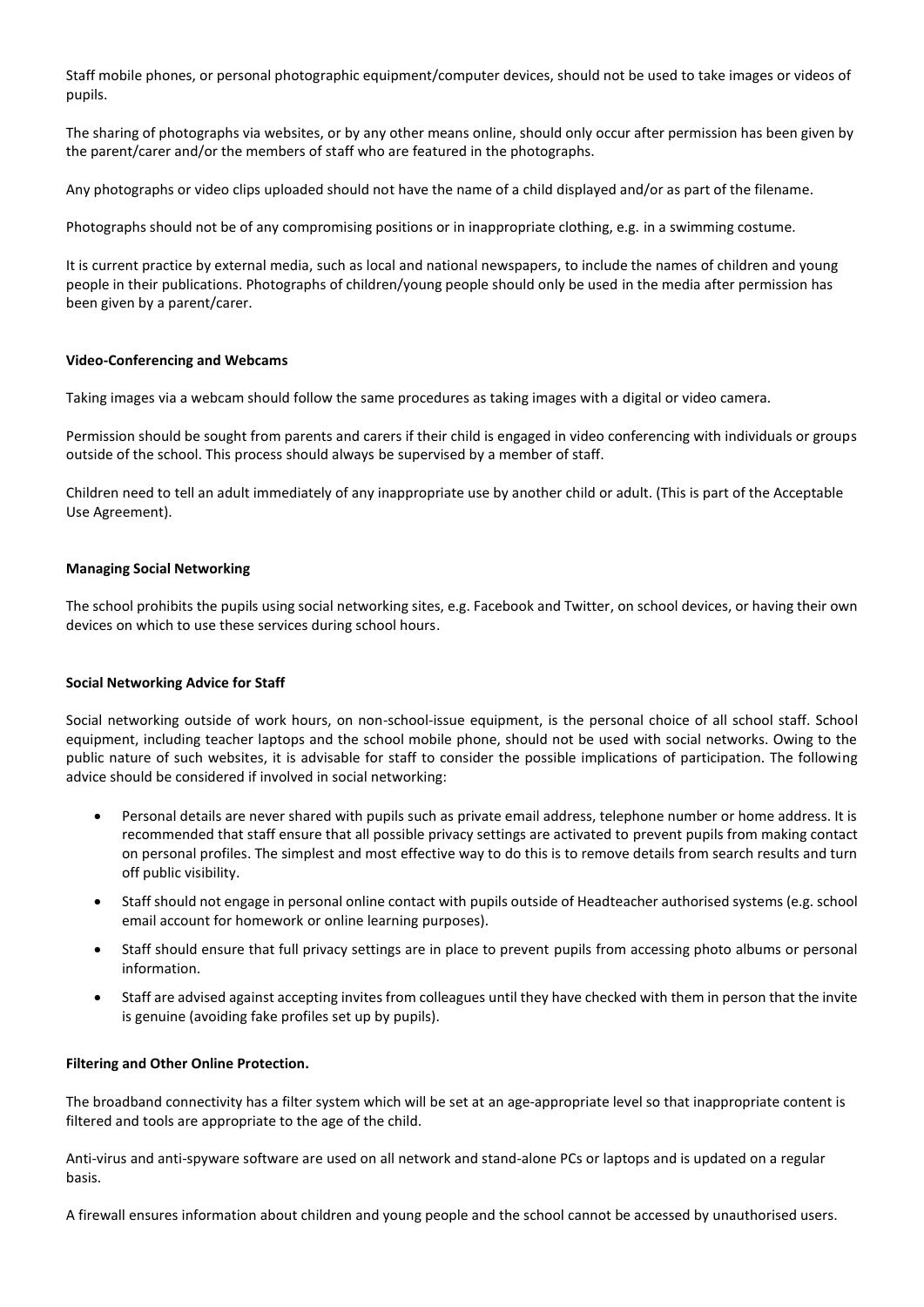Staff mobile phones, or personal photographic equipment/computer devices, should not be used to take images or videos of pupils.

The sharing of photographs via websites, or by any other means online, should only occur after permission has been given by the parent/carer and/or the members of staff who are featured in the photographs.

Any photographs or video clips uploaded should not have the name of a child displayed and/or as part of the filename.

Photographs should not be of any compromising positions or in inappropriate clothing, e.g. in a swimming costume.

It is current practice by external media, such as local and national newspapers, to include the names of children and young people in their publications. Photographs of children/young people should only be used in the media after permission has been given by a parent/carer.

#### **Video-Conferencing and Webcams**

Taking images via a webcam should follow the same procedures as taking images with a digital or video camera.

Permission should be sought from parents and carers if their child is engaged in video conferencing with individuals or groups outside of the school. This process should always be supervised by a member of staff.

Children need to tell an adult immediately of any inappropriate use by another child or adult. (This is part of the Acceptable Use Agreement).

#### **Managing Social Networking**

The school prohibits the pupils using social networking sites, e.g. Facebook and Twitter, on school devices, or having their own devices on which to use these services during school hours.

#### **Social Networking Advice for Staff**

Social networking outside of work hours, on non-school-issue equipment, is the personal choice of all school staff. School equipment, including teacher laptops and the school mobile phone, should not be used with social networks. Owing to the public nature of such websites, it is advisable for staff to consider the possible implications of participation. The following advice should be considered if involved in social networking:

- Personal details are never shared with pupils such as private email address, telephone number or home address. It is recommended that staff ensure that all possible privacy settings are activated to prevent pupils from making contact on personal profiles. The simplest and most effective way to do this is to remove details from search results and turn off public visibility.
- Staff should not engage in personal online contact with pupils outside of Headteacher authorised systems (e.g. school email account for homework or online learning purposes).
- Staff should ensure that full privacy settings are in place to prevent pupils from accessing photo albums or personal information.
- Staff are advised against accepting invites from colleagues until they have checked with them in person that the invite is genuine (avoiding fake profiles set up by pupils).

## **Filtering and Other Online Protection.**

The broadband connectivity has a filter system which will be set at an age-appropriate level so that inappropriate content is filtered and tools are appropriate to the age of the child.

Anti-virus and anti-spyware software are used on all network and stand-alone PCs or laptops and is updated on a regular basis.

A firewall ensures information about children and young people and the school cannot be accessed by unauthorised users.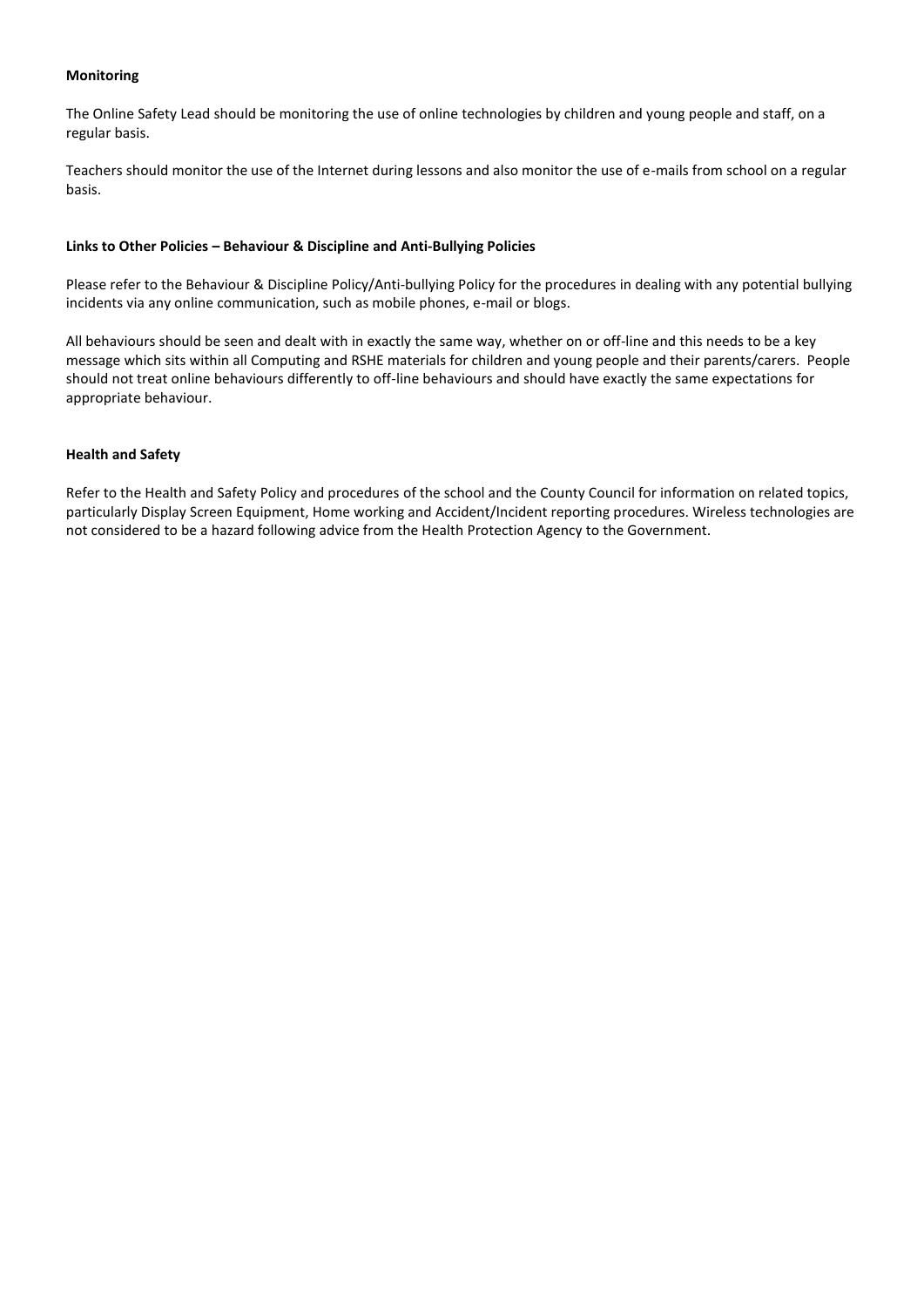## **Monitoring**

The Online Safety Lead should be monitoring the use of online technologies by children and young people and staff, on a regular basis.

Teachers should monitor the use of the Internet during lessons and also monitor the use of e-mails from school on a regular basis.

## **Links to Other Policies – Behaviour & Discipline and Anti-Bullying Policies**

Please refer to the Behaviour & Discipline Policy/Anti-bullying Policy for the procedures in dealing with any potential bullying incidents via any online communication, such as mobile phones, e-mail or blogs.

All behaviours should be seen and dealt with in exactly the same way, whether on or off-line and this needs to be a key message which sits within all Computing and RSHE materials for children and young people and their parents/carers. People should not treat online behaviours differently to off-line behaviours and should have exactly the same expectations for appropriate behaviour.

## **Health and Safety**

Refer to the Health and Safety Policy and procedures of the school and the County Council for information on related topics, particularly Display Screen Equipment, Home working and Accident/Incident reporting procedures. Wireless technologies are not considered to be a hazard following advice from the Health Protection Agency to the Government.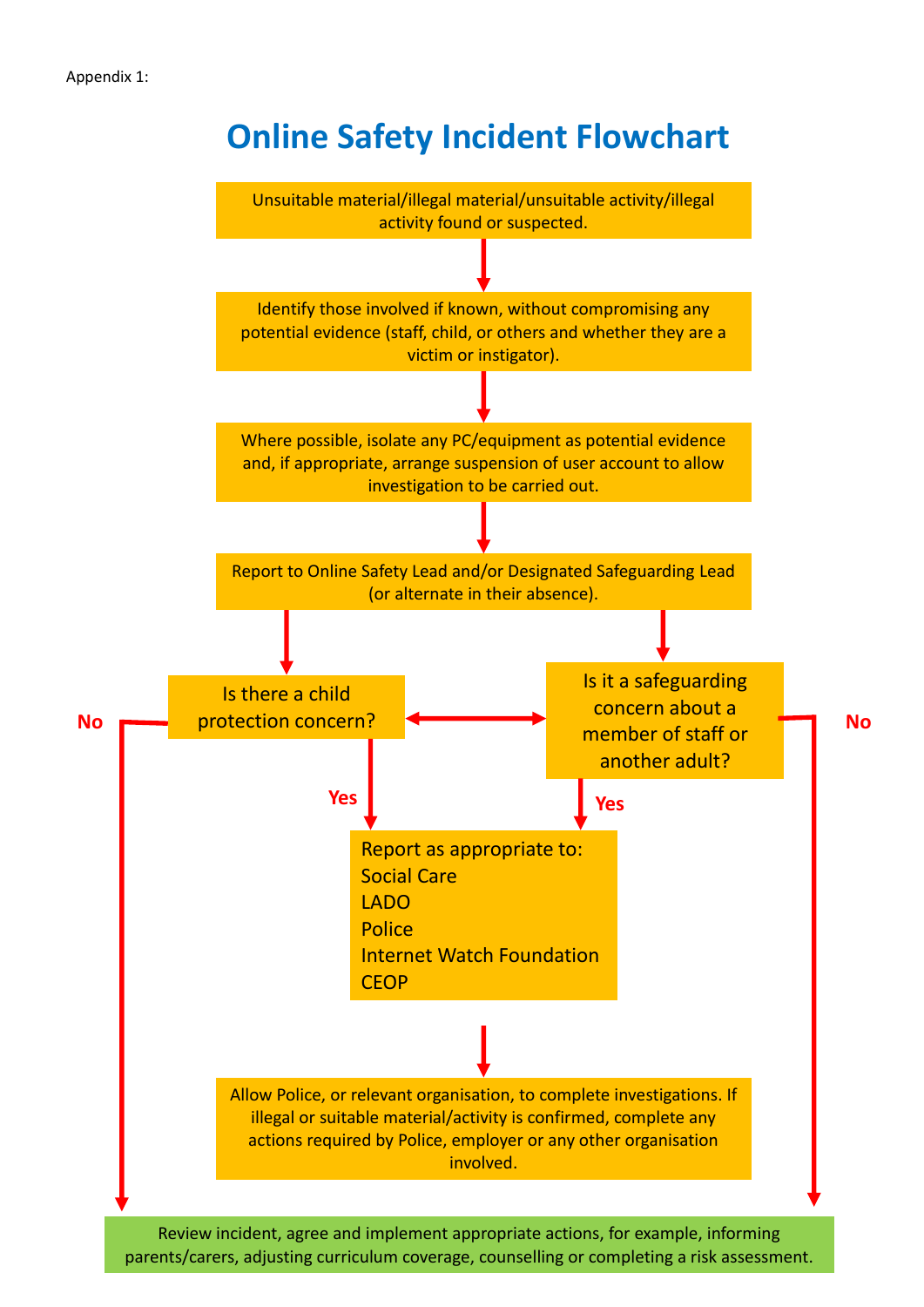# **Online Safety Incident Flowchart**



parents/carers, adjusting curriculum coverage, counselling or completing a risk assessment.